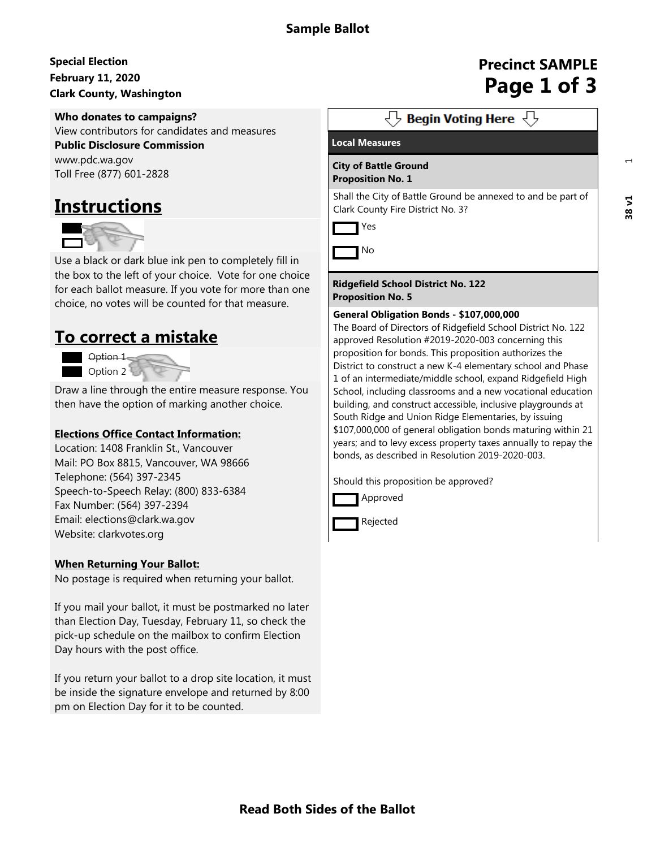# **February 11, 2020 Special Election Clark County, Washington**<br>Clark County, Washington

### **Who donates to campaigns?**

View contributors for candidates and measures **Public Disclosure Commission**

www.pdc.wa.gov Toll Free (877) 601-2828

# **Instructions**



Use a black or dark blue ink pen to completely fill in the box to the left of your choice. Vote for one choice for each ballot measure. If you vote for more than one choice, no votes will be counted for that measure.

# **To correct a mistake**



Draw a line through the entire measure response. You then have the option of marking another choice.

## **Elections Office Contact Information:**

Location: 1408 Franklin St., Vancouver Mail: PO Box 8815, Vancouver, WA 98666 Telephone: (564) 397-2345 Speech-to-Speech Relay: (800) 833-6384 Fax Number: (564) 397-2394 Email: elections@clark.wa.gov Website: clarkvotes.org

## **When Returning Your Ballot:**

No postage is required when returning your ballot.

If you mail your ballot, it must be postmarked no later than Election Day, Tuesday, February 11, so check the pick-up schedule on the mailbox to confirm Election Day hours with the post office.

If you return your ballot to a drop site location, it must be inside the signature envelope and returned by 8:00 pm on Election Day for it to be counted.

# **Precinct SAMPLE**

 $\overline{\left\langle \right\rangle}$  Begin Voting Here  $\overline{\left\langle \right\rangle}$ 

### **Local Measures**

Yes

#### **City of Battle Ground Proposition No. 1**

Shall the City of Battle Ground be annexed to and be part of Clark County Fire District No. 3?





**Ridgefield School District No. 122 Proposition No. 5**

#### **General Obligation Bonds - \$107,000,000**

The Board of Directors of Ridgefield School District No. 122 approved Resolution #2019-2020-003 concerning this proposition for bonds. This proposition authorizes the District to construct a new K-4 elementary school and Phase 1 of an intermediate/middle school, expand Ridgefield High School, including classrooms and a new vocational education building, and construct accessible, inclusive playgrounds at South Ridge and Union Ridge Elementaries, by issuing \$107,000,000 of general obligation bonds maturing within 21 years; and to levy excess property taxes annually to repay the bonds, as described in Resolution 2019-2020-003.

Should this proposition be approved?





**Read Both Sides of the Ballot**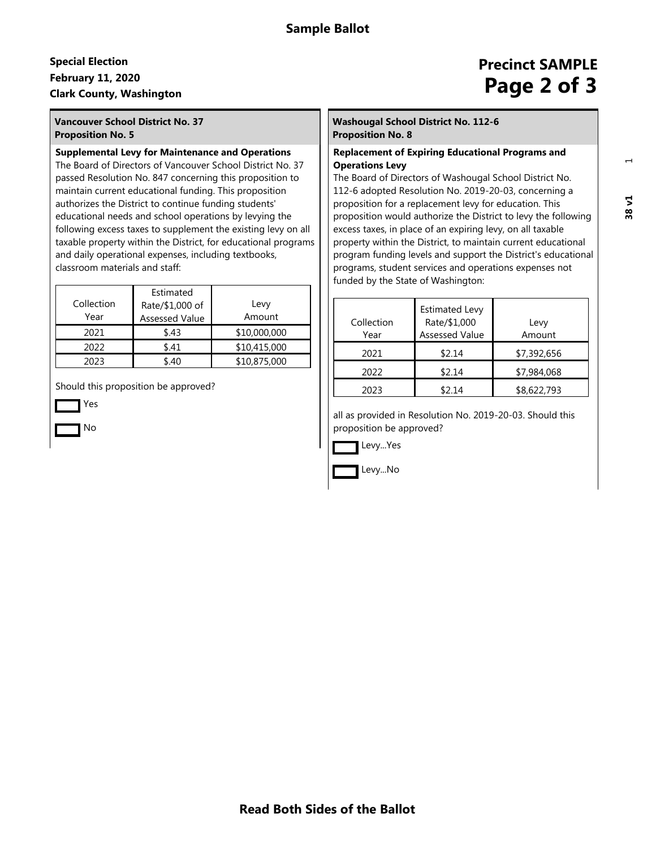# **February 11, 2020 Special Election Clark County, Washington**<br>Clark County, Washington

## **Vancouver School District No. 37 Proposition No. 5**

#### **Supplemental Levy for Maintenance and Operations**

The Board of Directors of Vancouver School District No. 37 passed Resolution No. 847 concerning this proposition to maintain current educational funding. This proposition authorizes the District to continue funding students' educational needs and school operations by levying the following excess taxes to supplement the existing levy on all taxable property within the District, for educational programs and daily operational expenses, including textbooks, classroom materials and staff:

| Collection<br>Year | Estimated<br>Rate/\$1,000 of<br><b>Assessed Value</b> | Levy<br>Amount |
|--------------------|-------------------------------------------------------|----------------|
| 2021               | \$.43                                                 | \$10,000,000   |
| 2022               | \$.41                                                 | \$10,415,000   |
| 2023               | \$ 40                                                 | \$10,875,000   |

Should this proposition be approved?

Yes

No

# **Precinct SAMPLE**

#### **Washougal School District No. 112-6 Proposition No. 8**

#### **Replacement of Expiring Educational Programs and Operations Levy**

The Board of Directors of Washougal School District No. 112-6 adopted Resolution No. 2019-20-03, concerning a proposition for a replacement levy for education. This proposition would authorize the District to levy the following excess taxes, in place of an expiring levy, on all taxable property within the District, to maintain current educational program funding levels and support the District's educational programs, student services and operations expenses not funded by the State of Washington:

| Collection<br>Year | <b>Estimated Levy</b><br>Rate/\$1,000<br><b>Assessed Value</b> | Levy<br>Amount |
|--------------------|----------------------------------------------------------------|----------------|
| 2021               | \$2.14                                                         | \$7,392,656    |
| 2022               | \$2.14                                                         | \$7,984,068    |
| 2023               | \$2.14                                                         | \$8,622,793    |

all as provided in Resolution No. 2019-20-03. Should this proposition be approved?



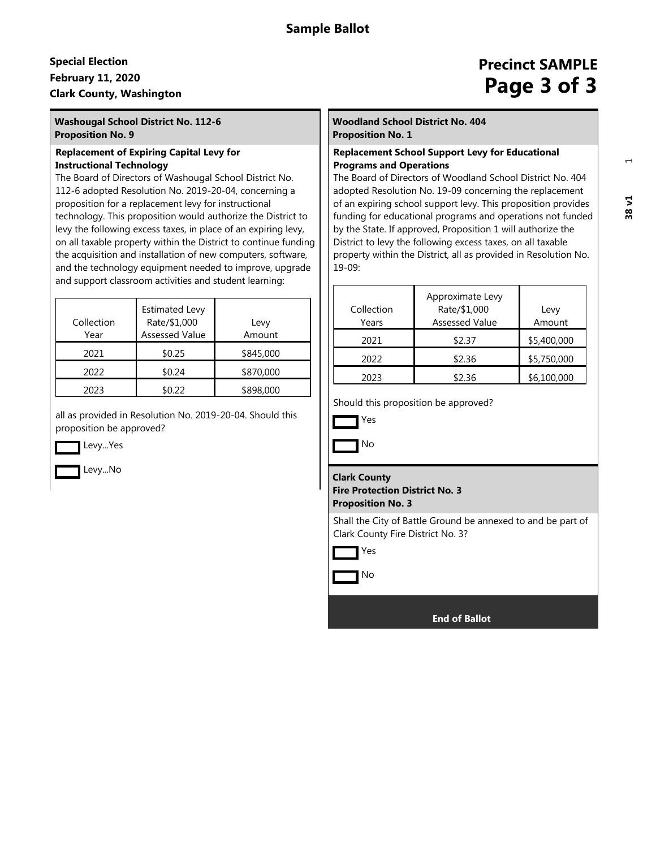# **February 11, 2020 Special Election Clark County, Washington**<br>Clark County, Washington

#### **Washougal School District No. 112-6 Proposition No. 9**

#### **Replacement of Expiring Capital Levy for Instructional Technology**

The Board of Directors of Washougal School District No. 112-6 adopted Resolution No. 2019-20-04, concerning a proposition for a replacement levy for instructional technology. This proposition would authorize the District to levy the following excess taxes, in place of an expiring levy, on all taxable property within the District to continue funding the acquisition and installation of new computers, software, and the technology equipment needed to improve, upgrade and support classroom activities and student learning:

| Collection<br>Year | <b>Estimated Levy</b><br>Rate/\$1,000<br><b>Assessed Value</b> | Levy<br>Amount |
|--------------------|----------------------------------------------------------------|----------------|
| 2021               | \$0.25                                                         | \$845,000      |
| 2022               | \$0.24                                                         | \$870,000      |
| 2023               | \$0.22                                                         | \$898,000      |

all as provided in Resolution No. 2019-20-04. Should this proposition be approved?

Levy...Yes

Levy...No

# **Precinct SAMPLE**

#### **Woodland School District No. 404 Proposition No. 1**

#### **Replacement School Support Levy for Educational Programs and Operations**

The Board of Directors of Woodland School District No. 404 adopted Resolution No. 19-09 concerning the replacement of an expiring school support levy. This proposition provides funding for educational programs and operations not funded by the State. If approved, Proposition 1 will authorize the District to levy the following excess taxes, on all taxable property within the District, all as provided in Resolution No. 19-09:

| Collection<br>Years | Approximate Levy<br>Rate/\$1,000<br><b>Assessed Value</b> | Levy<br>Amount |
|---------------------|-----------------------------------------------------------|----------------|
| 2021                | \$2.37                                                    | \$5,400,000    |
| 2022                | \$2.36                                                    | \$5,750,000    |
| 2023                | \$2.36                                                    | \$6,100,000    |

Should this proposition be approved?



No

#### **Clark County**

**Fire Protection District No. 3 Proposition No. 3**

Shall the City of Battle Ground be annexed to and be part of Clark County Fire District No. 3?



No

 **End of Ballot**